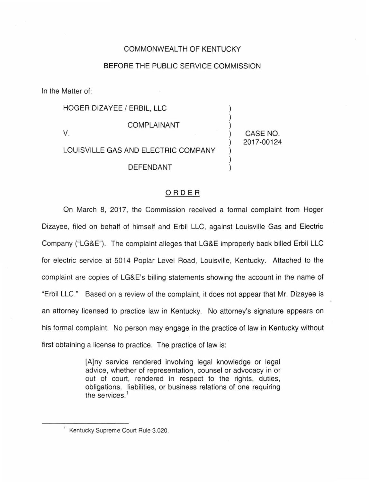## COMMONWEALTH OF KENTUCKY

## BEFORE THE PUBLIC SERVICE COMMISSION

In the Matter of:

HOGER DIZAYEE / ERBIL, LLC COMPLAINANT V. CASE NO. LOUISVILLE GAS AND ELECTRIC COMPANY DEFENDANT

2017-00124

## ORDER

On March 8, 2017, the Commission received a formal complaint from Hoger Dizayee, filed on behalf of himself and Erbil LLC, against Louisville Gas and Electric Company ("LG&E"). The complaint alleges that LG&E improperly back billed Erbil LLC for electric service at 5014 Poplar Level Road, Louisville, Kentucky. Attached to the complaint are copies of LG&E's billing statements showing the account in the name of "Erbil LLC." Based on a review of the complaint, it does not appear that Mr. Dizayee is an attorney licensed to practice law in Kentucky. No attorney's signature appears on his formal complaint. No person may engage in the practice of law in Kentucky without first obtaining a license to practice. The practice of law is:

> [A]ny service rendered involving legal knowledge or legal advice, whether of representation, counsel or advocacy in or out of court, rendered in respect to the rights, duties, obligations, liabilities, or business relations of one requiring the services.<sup>1</sup>

<sup>&</sup>lt;sup>1</sup> Kentucky Supreme Court Rule 3.020.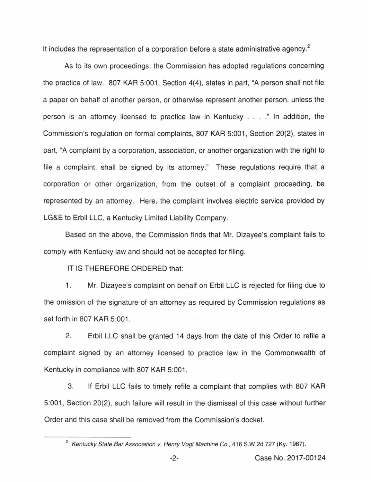It includes the representation of a corporation before a state administrative agency. $2$ 

As to its own proceedings, the Commission has adopted regulations concerning the practice of law. 807 KAR 5:001, Section 4(4), states in part, "A person shall not file a paper on behalf of another person, or otherwise represent another person, unless the person is an attorney licensed to practice law in Kentucky .... " In addition, the Commission's regulation on formal complaints, 807 KAR 5:001, Section 20(2), states in part, "A complaint by a corporation, association, or another organization with the right to file a complaint, shall be signed by its attorney." These regulations require that a corporation or other organization, from the outset of a complaint proceeding, be represented by an attorney. Here, the complaint involves electric service provided by LG&E to Erbil LLC, a Kentucky Limited Liability Company.

Based on the above, the Commission finds that Mr. Dizayee's complaint fails to comply with Kentucky law and should not be accepted for filing.

IT IS THEREFORE ORDERED that:

1. Mr. Dizayee's complaint on behalf on Erbil LLC is rejected for filing due to the omission of the signature of an attorney as required by Commission regulations as set forth in 807 KAR 5:001.

2. Erbil LLC shall be granted 14 days from the date of this Order to refile a complaint signed by an attorney licensed to practice law in the Commonwealth of Kentucky in compliance with 807 KAR 5:001.

3. If Erbil LLC fails to timely refile a complaint that complies with 807 KAR 5:001 , Section 20(2), such failure will result in the dismissal of this case without further Order and this case shall be removed from the Commission's docket.

<sup>&</sup>lt;sup>2</sup> Kentucky State Bar Association v. Henry Vogt Machine Co., 416 S.W.2d 727 (Ky. 1967).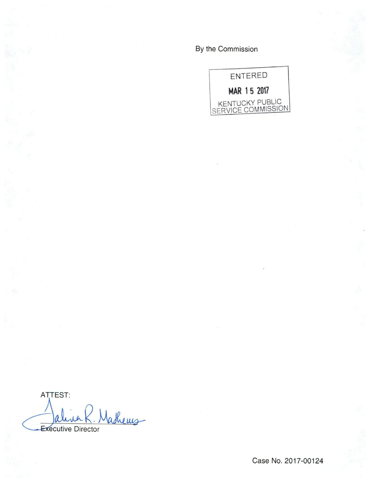By the Commission



ATTEST: Jalina R. Mathems

Case No. 2017-00124